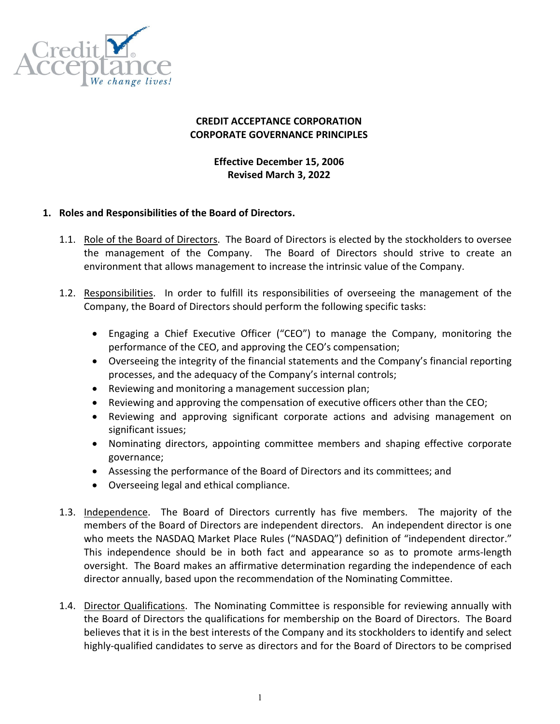

# CREDIT ACCEPTANCE CORPORATION CORPORATE GOVERNANCE PRINCIPLES

### Effective December 15, 2006 Revised March 3, 2022

#### 1. Roles and Responsibilities of the Board of Directors.

- 1.1. Role of the Board of Directors. The Board of Directors is elected by the stockholders to oversee the management of the Company. The Board of Directors should strive to create an environment that allows management to increase the intrinsic value of the Company.
- 1.2. Responsibilities. In order to fulfill its responsibilities of overseeing the management of the Company, the Board of Directors should perform the following specific tasks:
	- Engaging a Chief Executive Officer ("CEO") to manage the Company, monitoring the performance of the CEO, and approving the CEO's compensation;
	- Overseeing the integrity of the financial statements and the Company's financial reporting processes, and the adequacy of the Company's internal controls;
	- Reviewing and monitoring a management succession plan;
	- Reviewing and approving the compensation of executive officers other than the CEO;
	- Reviewing and approving significant corporate actions and advising management on significant issues;
	- Nominating directors, appointing committee members and shaping effective corporate governance;
	- Assessing the performance of the Board of Directors and its committees; and
	- Overseeing legal and ethical compliance.
- 1.3. Independence. The Board of Directors currently has five members. The majority of the members of the Board of Directors are independent directors. An independent director is one who meets the NASDAQ Market Place Rules ("NASDAQ") definition of "independent director." This independence should be in both fact and appearance so as to promote arms-length oversight. The Board makes an affirmative determination regarding the independence of each director annually, based upon the recommendation of the Nominating Committee.
- 1.4. Director Qualifications. The Nominating Committee is responsible for reviewing annually with the Board of Directors the qualifications for membership on the Board of Directors. The Board believes that it is in the best interests of the Company and its stockholders to identify and select highly-qualified candidates to serve as directors and for the Board of Directors to be comprised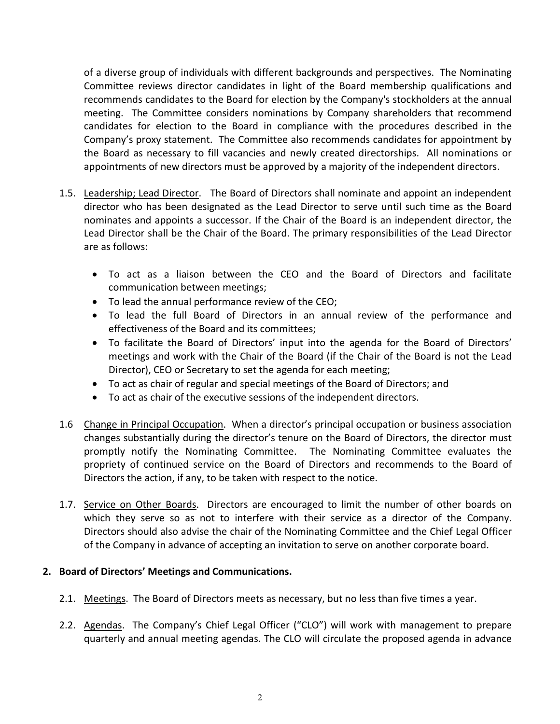of a diverse group of individuals with different backgrounds and perspectives. The Nominating Committee reviews director candidates in light of the Board membership qualifications and recommends candidates to the Board for election by the Company's stockholders at the annual meeting. The Committee considers nominations by Company shareholders that recommend candidates for election to the Board in compliance with the procedures described in the Company's proxy statement. The Committee also recommends candidates for appointment by the Board as necessary to fill vacancies and newly created directorships. All nominations or appointments of new directors must be approved by a majority of the independent directors.

- 1.5. Leadership; Lead Director. The Board of Directors shall nominate and appoint an independent director who has been designated as the Lead Director to serve until such time as the Board nominates and appoints a successor. If the Chair of the Board is an independent director, the Lead Director shall be the Chair of the Board. The primary responsibilities of the Lead Director are as follows:
	- To act as a liaison between the CEO and the Board of Directors and facilitate communication between meetings;
	- To lead the annual performance review of the CEO;
	- To lead the full Board of Directors in an annual review of the performance and effectiveness of the Board and its committees;
	- To facilitate the Board of Directors' input into the agenda for the Board of Directors' meetings and work with the Chair of the Board (if the Chair of the Board is not the Lead Director), CEO or Secretary to set the agenda for each meeting;
	- To act as chair of regular and special meetings of the Board of Directors; and
	- To act as chair of the executive sessions of the independent directors.
- 1.6 Change in Principal Occupation. When a director's principal occupation or business association changes substantially during the director's tenure on the Board of Directors, the director must promptly notify the Nominating Committee. The Nominating Committee evaluates the propriety of continued service on the Board of Directors and recommends to the Board of Directors the action, if any, to be taken with respect to the notice.
- 1.7. Service on Other Boards. Directors are encouraged to limit the number of other boards on which they serve so as not to interfere with their service as a director of the Company. Directors should also advise the chair of the Nominating Committee and the Chief Legal Officer of the Company in advance of accepting an invitation to serve on another corporate board.

# 2. Board of Directors' Meetings and Communications.

- 2.1. Meetings. The Board of Directors meets as necessary, but no less than five times a year.
- 2.2. Agendas. The Company's Chief Legal Officer ("CLO") will work with management to prepare quarterly and annual meeting agendas. The CLO will circulate the proposed agenda in advance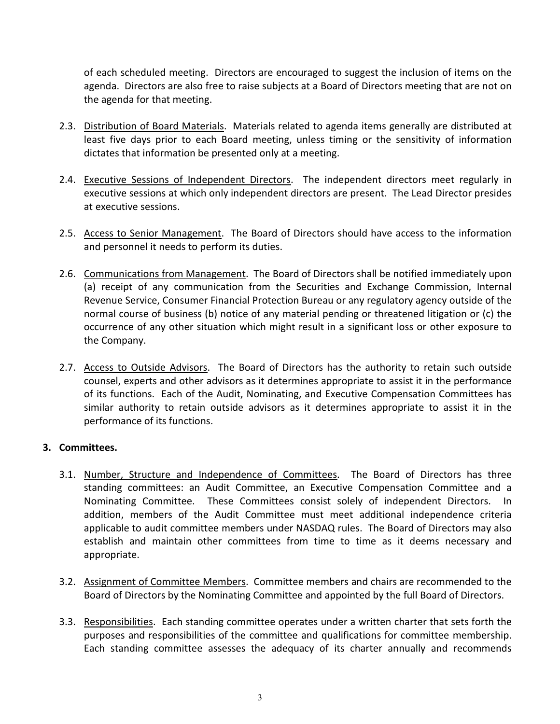of each scheduled meeting. Directors are encouraged to suggest the inclusion of items on the agenda. Directors are also free to raise subjects at a Board of Directors meeting that are not on the agenda for that meeting.

- 2.3. Distribution of Board Materials. Materials related to agenda items generally are distributed at least five days prior to each Board meeting, unless timing or the sensitivity of information dictates that information be presented only at a meeting.
- 2.4. Executive Sessions of Independent Directors. The independent directors meet regularly in executive sessions at which only independent directors are present. The Lead Director presides at executive sessions.
- 2.5. Access to Senior Management. The Board of Directors should have access to the information and personnel it needs to perform its duties.
- 2.6. Communications from Management. The Board of Directors shall be notified immediately upon (a) receipt of any communication from the Securities and Exchange Commission, Internal Revenue Service, Consumer Financial Protection Bureau or any regulatory agency outside of the normal course of business (b) notice of any material pending or threatened litigation or (c) the occurrence of any other situation which might result in a significant loss or other exposure to the Company.
- 2.7. Access to Outside Advisors. The Board of Directors has the authority to retain such outside counsel, experts and other advisors as it determines appropriate to assist it in the performance of its functions. Each of the Audit, Nominating, and Executive Compensation Committees has similar authority to retain outside advisors as it determines appropriate to assist it in the performance of its functions.

# 3. Committees.

- 3.1. Number, Structure and Independence of Committees. The Board of Directors has three standing committees: an Audit Committee, an Executive Compensation Committee and a Nominating Committee. These Committees consist solely of independent Directors. In addition, members of the Audit Committee must meet additional independence criteria applicable to audit committee members under NASDAQ rules. The Board of Directors may also establish and maintain other committees from time to time as it deems necessary and appropriate.
- 3.2. Assignment of Committee Members. Committee members and chairs are recommended to the Board of Directors by the Nominating Committee and appointed by the full Board of Directors.
- 3.3. Responsibilities. Each standing committee operates under a written charter that sets forth the purposes and responsibilities of the committee and qualifications for committee membership. Each standing committee assesses the adequacy of its charter annually and recommends